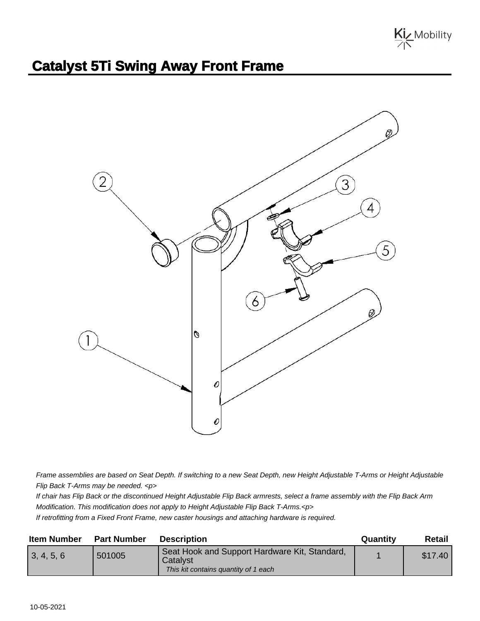Kiz Mobility

## **Catalyst 5Ti Swing Away Front Frame**



Frame assemblies are based on Seat Depth. If switching to a new Seat Depth, new Height Adjustable T-Arms or Height Adjustable Flip Back T-Arms may be needed. <p>

If chair has Flip Back or the discontinued Height Adjustable Flip Back armrests, select a frame assembly with the Flip Back Arm Modification. This modification does not apply to Height Adjustable Flip Back T-Arms.<p>

If retrofitting from a Fixed Front Frame, new caster housings and attaching hardware is required.

| <b>Item Number</b> | <b>Part Number</b> | <b>Description</b>                                                                                | Quantity | Retail  |
|--------------------|--------------------|---------------------------------------------------------------------------------------------------|----------|---------|
| 3, 4, 5, 6         | 501005             | Seat Hook and Support Hardware Kit, Standard,<br>Catalyst<br>This kit contains quantity of 1 each |          | \$17.40 |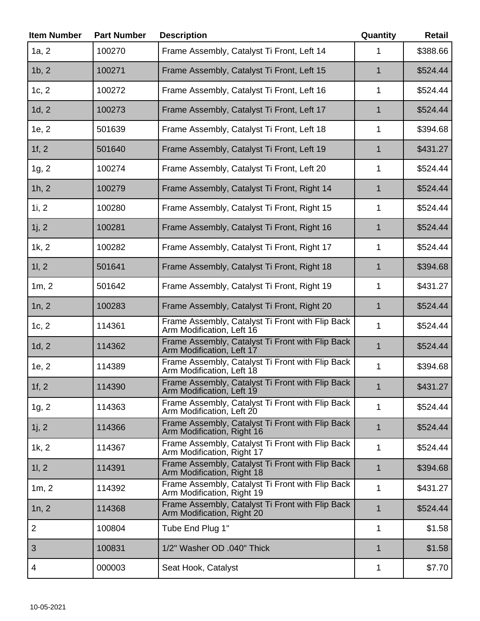| <b>Item Number</b> | <b>Part Number</b> | <b>Description</b>                                                             | Quantity     | <b>Retail</b> |
|--------------------|--------------------|--------------------------------------------------------------------------------|--------------|---------------|
| 1a, 2              | 100270             | Frame Assembly, Catalyst Ti Front, Left 14                                     | 1            | \$388.66      |
| 1b, 2              | 100271             | Frame Assembly, Catalyst Ti Front, Left 15                                     | $\mathbf 1$  | \$524.44      |
| 1c, 2              | 100272             | Frame Assembly, Catalyst Ti Front, Left 16                                     | $\mathbf{1}$ | \$524.44      |
| 1d, 2              | 100273             | Frame Assembly, Catalyst Ti Front, Left 17                                     | 1            | \$524.44      |
| 1e, 2              | 501639             | Frame Assembly, Catalyst Ti Front, Left 18                                     | 1            | \$394.68      |
| 1f, 2              | 501640             | Frame Assembly, Catalyst Ti Front, Left 19                                     | 1            | \$431.27      |
| 1g, 2              | 100274             | Frame Assembly, Catalyst Ti Front, Left 20                                     | 1            | \$524.44      |
| 1h, 2              | 100279             | Frame Assembly, Catalyst Ti Front, Right 14                                    | 1            | \$524.44      |
| 1i, 2              | 100280             | Frame Assembly, Catalyst Ti Front, Right 15                                    | $\mathbf{1}$ | \$524.44      |
| 1j, 2              | 100281             | Frame Assembly, Catalyst Ti Front, Right 16                                    | 1            | \$524.44      |
| 1k, 2              | 100282             | Frame Assembly, Catalyst Ti Front, Right 17                                    | 1            | \$524.44      |
| 11, 2              | 501641             | Frame Assembly, Catalyst Ti Front, Right 18                                    | 1            | \$394.68      |
| 1m, 2              | 501642             | Frame Assembly, Catalyst Ti Front, Right 19                                    | 1            | \$431.27      |
| 1n, 2              | 100283             | Frame Assembly, Catalyst Ti Front, Right 20                                    | $\mathbf 1$  | \$524.44      |
| 1c, 2              | 114361             | Frame Assembly, Catalyst Ti Front with Flip Back<br>Arm Modification, Left 16  | $\mathbf{1}$ | \$524.44      |
| 1d, 2              | 114362             | Frame Assembly, Catalyst Ti Front with Flip Back<br>Arm Modification, Left 17  | $\mathbf 1$  | \$524.44      |
| 1e, 2              | 114389             | Frame Assembly, Catalyst Ti Front with Flip Back<br>Arm Modification, Left 18  | 1            | \$394.68      |
| 1f, 2              | 114390             | Frame Assembly, Catalyst Ti Front with Flip Back<br>Arm Modification, Left 19  | $\mathbf{1}$ | \$431.27      |
| 1g, 2              | 114363             | Frame Assembly, Catalyst Ti Front with Flip Back<br>Arm Modification, Left 20  | 1            | \$524.44      |
| 1j, 2              | 114366             | Frame Assembly, Catalyst Ti Front with Flip Back<br>Arm Modification, Right 16 | $\mathbf{1}$ | \$524.44      |
| 1k, 2              | 114367             | Frame Assembly, Catalyst Ti Front with Flip Back<br>Arm Modification, Right 17 | $\mathbf{1}$ | \$524.44      |
| 11, 2              | 114391             | Frame Assembly, Catalyst Ti Front with Flip Back<br>Arm Modification, Right 18 | $\mathbf{1}$ | \$394.68      |
| 1m, 2              | 114392             | Frame Assembly, Catalyst Ti Front with Flip Back<br>Arm Modification, Right 19 | 1            | \$431.27      |
| 1n, 2              | 114368             | Frame Assembly, Catalyst Ti Front with Flip Back<br>Arm Modification, Right 20 | $\mathbf{1}$ | \$524.44      |
| $\overline{2}$     | 100804             | Tube End Plug 1"                                                               | $\mathbf 1$  | \$1.58        |
| 3                  | 100831             | 1/2" Washer OD .040" Thick                                                     | 1            | \$1.58        |
| 4                  | 000003             | Seat Hook, Catalyst                                                            | 1            | \$7.70        |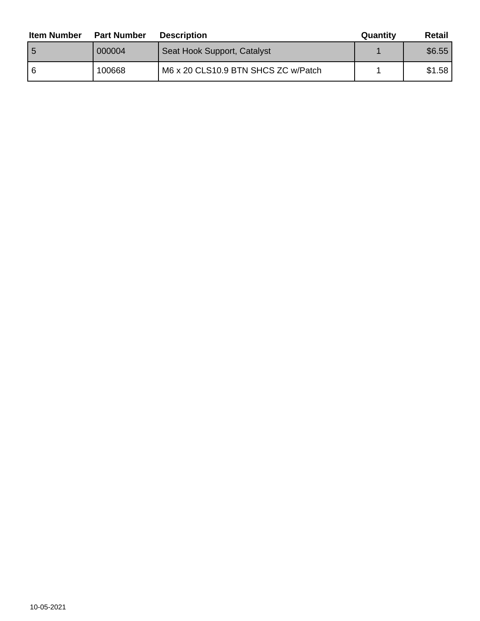| <b>Item Number</b> | <b>Part Number</b> | <b>Description</b>                  | Quantity | Retail |
|--------------------|--------------------|-------------------------------------|----------|--------|
| ۱5                 | 000004             | Seat Hook Support, Catalyst         |          | \$6.55 |
| -6                 | 100668             | M6 x 20 CLS10.9 BTN SHCS ZC w/Patch |          | \$1.58 |